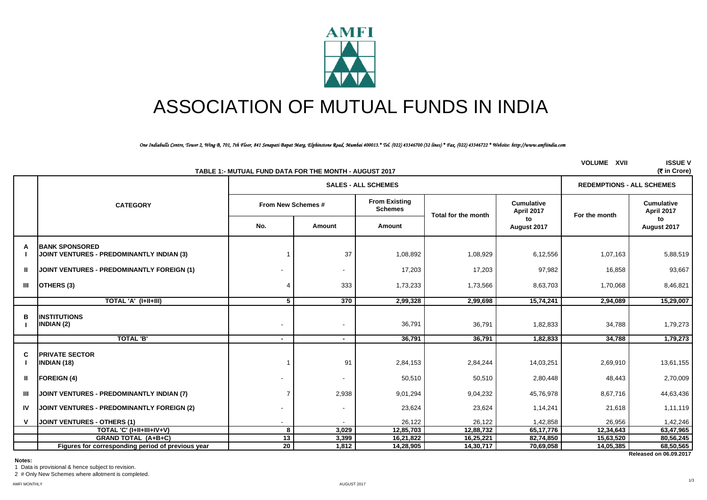

# ASSOCIATION OF MUTUAL FUNDS IN INDIA

*One Indiabulls Centre, Tower 2, Wing B, 701, 7th Floor, 841 Senapati Bapat Marg, Elphinstone Road, Mumbai 400013.\* Tel. (022) 43346700 (32 lines) \* Fax. (022) 43346722 \* Website: http://www.amfiindia.com*

|    | TABLE 1:- MUTUAL FUND DATA FOR THE MONTH - AUGUST 2017              | <b>VOLUME XVII</b>         | <b>ISSUE V</b><br>(₹ in Crore) |                                        |                     |                                 |               |                                 |  |
|----|---------------------------------------------------------------------|----------------------------|--------------------------------|----------------------------------------|---------------------|---------------------------------|---------------|---------------------------------|--|
|    |                                                                     | <b>SALES - ALL SCHEMES</b> |                                |                                        |                     |                                 |               |                                 |  |
|    | <b>CATEGORY</b>                                                     | From New Schemes #         |                                | <b>From Existing</b><br><b>Schemes</b> | Total for the month | <b>Cumulative</b><br>April 2017 | For the month | <b>Cumulative</b><br>April 2017 |  |
|    |                                                                     | No.                        | Amount                         | Amount                                 |                     | to<br>August 2017               |               | to<br>August 2017               |  |
| A  | <b>IBANK SPONSORED</b><br>JOINT VENTURES - PREDOMINANTLY INDIAN (3) |                            | 37                             | 1,08,892                               | 1,08,929            | 6,12,556                        | 1,07,163      | 5,88,519                        |  |
| Ш. | <b>JOINT VENTURES - PREDOMINANTLY FOREIGN (1)</b>                   |                            |                                | 17,203                                 | 17,203              | 97,982                          | 16,858        | 93,667                          |  |
| Ш  | OTHERS (3)                                                          |                            | 333                            | 1,73,233                               | 1,73,566            | 8,63,703                        | 1,70,068      | 8,46,821                        |  |
|    | TOTAL 'A' (I+II+III)                                                | $5^{\circ}$                | 370                            | 2,99,328                               | 2,99,698            | 15,74,241                       | 2,94,089      | 15,29,007                       |  |
| в  | <b>INSTITUTIONS</b><br>INDIAN (2)                                   |                            | $\overline{\phantom{a}}$       | 36,791                                 | 36,791              | 1,82,833                        | 34,788        | 1,79,273                        |  |
|    | <b>TOTAL 'B'</b>                                                    | $\sim$                     | $\blacksquare$                 | 36,791                                 | 36,791              | 1,82,833                        | 34,788        | 1,79,273                        |  |
| C  | <b>PRIVATE SECTOR</b><br><b>INDIAN (18)</b>                         |                            | 91                             | 2,84,153                               | 2,84,244            | 14,03,251                       | 2,69,910      | 13,61,155                       |  |
| Ш. | <b>FOREIGN (4)</b>                                                  |                            | $\overline{\phantom{a}}$       | 50,510                                 | 50,510              | 2,80,448                        | 48,443        | 2,70,009                        |  |
| Ш  | JOINT VENTURES - PREDOMINANTLY INDIAN (7)                           | 7                          | 2,938                          | 9,01,294                               | 9,04,232            | 45,76,978                       | 8,67,716      | 44,63,436                       |  |
| IV | JOINT VENTURES - PREDOMINANTLY FOREIGN (2)                          |                            | $\overline{\phantom{a}}$       | 23,624                                 | 23,624              | 1,14,241                        | 21,618        | 1,11,119                        |  |
| v  | JOINT VENTURES - OTHERS (1)                                         |                            |                                | 26,122                                 | 26,122              | 1,42,858                        | 26,956        | 1,42,246                        |  |
|    | TOTAL 'C' (I+II+III+IV+V)                                           | 8                          | 3,029                          | 12,85,703                              | 12,88,732           | 65, 17, 776                     | 12,34,643     | 63,47,965                       |  |
|    | <b>GRAND TOTAL (A+B+C)</b>                                          | 13                         | 3,399                          | 16,21,822                              | 16,25,221           | 82,74,850                       | 15,63,520     | 80,56,245                       |  |
|    | Figures for corresponding period of previous year                   | $\overline{20}$            | 1,812                          | 14,28,905                              | 14,30,717           | 70,69,058                       | 14,05,385     | 68,50,565                       |  |
|    |                                                                     |                            |                                |                                        |                     |                                 |               | Released on 06.09.2017          |  |

**Notes:**

1 Data is provisional & hence subject to revision. 2 # Only New Schemes where allotment is completed.

1/3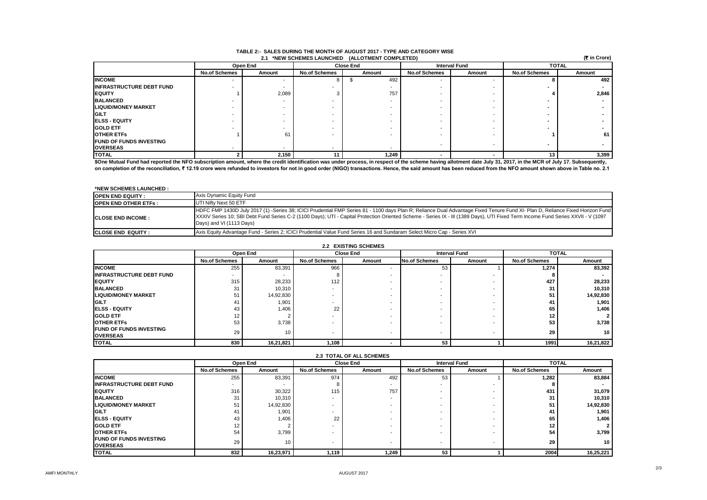|                                 | (र in Crore)<br>2.1 *NEW SCHEMES LAUNCHED (ALLOTMENT COMPLETED) |          |                      |                                          |                          |        |                      |        |
|---------------------------------|-----------------------------------------------------------------|----------|----------------------|------------------------------------------|--------------------------|--------|----------------------|--------|
|                                 |                                                                 | Open End |                      | <b>Interval Fund</b><br><b>Close End</b> |                          |        | <b>TOTAL</b>         |        |
|                                 | <b>No.of Schemes</b>                                            | Amount   | <b>No.of Schemes</b> | Amount                                   | <b>No.of Schemes</b>     | Amount | <b>No.of Schemes</b> | Amount |
| <b>INCOME</b>                   |                                                                 |          |                      | 492                                      |                          |        |                      | 492    |
| <b>INFRASTRUCTURE DEBT FUND</b> |                                                                 |          |                      |                                          |                          |        |                      |        |
| <b>IEQUITY</b>                  |                                                                 | 2,089    |                      | 757                                      |                          |        |                      | 2,846  |
| <b>BALANCED</b>                 |                                                                 |          |                      |                                          |                          |        |                      |        |
| <b>ILIQUID/MONEY MARKET</b>     |                                                                 |          |                      |                                          |                          |        |                      |        |
| <b>IGILT</b>                    |                                                                 |          |                      |                                          |                          |        |                      |        |
| <b>IELSS - EQUITY</b>           |                                                                 |          |                      |                                          |                          |        |                      |        |
| <b>GOLD ETF</b>                 |                                                                 |          |                      |                                          |                          |        |                      |        |
| <b>OTHER ETFS</b>               |                                                                 | 61       |                      |                                          |                          |        |                      | 61     |
| <b>FUND OF FUNDS INVESTING</b>  |                                                                 |          |                      |                                          |                          |        |                      |        |
| <b>OVERSEAS</b>                 |                                                                 |          |                      |                                          | $\overline{\phantom{a}}$ |        |                      |        |
| <b>TOTAL</b>                    |                                                                 | 2,150    |                      | 1,249                                    |                          |        | 13                   | 3,399  |

### **TABLE 2:- SALES DURING THE MONTH OF AUGUST 2017 - TYPE AND CATEGORY WISE**

**\$One Mutual Fund had reported the NFO subscription amount, where the credit identification was under process, in respect of the scheme having allotment date July 31, 2017, in the MCR of July 17. Subsequently, on completion of the reconciliation, ₹ 12.19 crore were refunded to investors for not in good order (NIGO) transactions. Hence, the said amount has been reduced from the NFO amount shown above in Table no. 2.1**

#### **\*NEW SCHEMES LAUNCHED :**

| <b>OPEN END EQUITY:</b>      | Axis Dynamic Equity Fund                                                                                                                                                                                                                                                                                                                                                                      |
|------------------------------|-----------------------------------------------------------------------------------------------------------------------------------------------------------------------------------------------------------------------------------------------------------------------------------------------------------------------------------------------------------------------------------------------|
| <b>IOPEN END OTHER ETFS:</b> | UTI Nifty Next 50 ETF                                                                                                                                                                                                                                                                                                                                                                         |
| <b>ICLOSE END INCOME :</b>   | HDFC FMP 1430D July 2017 (1) -Series 38; ICICI Prudential FMP Series 81 - 1100 days Plan R; Reliance Dual Advantage Fixed Tenure Fund XI- Plan D, Reliance Fixed Horizon Fund<br>XXXIV Series 10; SBI Debt Fund Series C-2 (1100 Days); UTI - Capital Protection Oriented Scheme - Series IX - III (1389 Days), UTI Fixed Term Income Fund Series XXVII - V (1097<br>Days) and VI (1113 Days) |
| <b>ICLOSE END EQUITY:</b>    | Axis Equity Advantage Fund - Series 2; ICICI Prudential Value Fund Series 16 and Sundaram Select Micro Cap - Series XVI                                                                                                                                                                                                                                                                       |

#### **2.2 EXISTING SCHEMES**

|                                 |                      | Open End                 |                          | <b>Close End</b> | <b>Interval Fund</b>     |        | <b>TOTAL</b>         |           |
|---------------------------------|----------------------|--------------------------|--------------------------|------------------|--------------------------|--------|----------------------|-----------|
|                                 | <b>No.of Schemes</b> | Amount                   | <b>No.of Schemes</b>     | Amount           | <b>No.of Schemes</b>     | Amount | <b>No.of Schemes</b> | Amount    |
| <b>INCOME</b>                   | 255                  | 83,391                   | 966                      |                  | 53                       |        | 1.274                | 83,392    |
| <b>INFRASTRUCTURE DEBT FUND</b> |                      | $\overline{\phantom{a}}$ |                          |                  | $\overline{\phantom{a}}$ |        | 8                    |           |
| <b>IEQUITY</b>                  | 315                  | 28,233                   | 112                      |                  | $\overline{\phantom{a}}$ |        | 427                  | 28,233    |
| <b>BALANCED</b>                 | 31                   | 10,310                   | $\overline{\phantom{0}}$ |                  |                          |        | 31                   | 10,310    |
| <b>LIQUID/MONEY MARKET</b>      | 51                   | 14,92,830                | $\overline{\phantom{0}}$ |                  | $\overline{\phantom{a}}$ |        | 51                   | 14,92,830 |
| <b>IGILT</b>                    | 41                   | 1,901                    |                          |                  | $\overline{\phantom{0}}$ |        | 41                   | 1,901     |
| <b>IELSS - EQUITY</b>           | 43                   | 1,406                    | 22                       |                  | $\overline{\phantom{a}}$ |        | 65                   | 1,406     |
| <b>GOLD ETF</b>                 | 12                   |                          | $\overline{\phantom{a}}$ |                  | $\overline{\phantom{0}}$ |        | 12                   |           |
| <b>OTHER ETFS</b>               | 53                   | 3,738                    | $\overline{\phantom{0}}$ |                  | $\overline{\phantom{a}}$ |        | 53                   | 3,738     |
| <b>FUND OF FUNDS INVESTING</b>  | 29                   | 10                       |                          |                  |                          | .      | 29                   | 10        |
| <b>OVERSEAS</b>                 |                      |                          | $\overline{\phantom{a}}$ |                  | $\overline{\phantom{a}}$ |        |                      |           |
| <b>TOTAL</b>                    | 830                  | 16,21,821                | 1,108                    |                  | 53                       |        | 1991                 | 16,21,822 |

| 2.3 TOTAL OF ALL SCHEMES        |                      |           |                          |        |                          |                          |                      |                 |  |
|---------------------------------|----------------------|-----------|--------------------------|--------|--------------------------|--------------------------|----------------------|-----------------|--|
|                                 |                      | Open End  | <b>Close End</b>         |        |                          | <b>Interval Fund</b>     | <b>TOTAL</b>         |                 |  |
|                                 | <b>No.of Schemes</b> | Amount    | <b>No.of Schemes</b>     | Amount | <b>No.of Schemes</b>     | Amount                   | <b>No.of Schemes</b> | Amount          |  |
| <b>INCOME</b>                   | 255                  | 83,391    | 974                      | 492    | 53                       |                          | 1.282                | 83,884          |  |
| <b>INFRASTRUCTURE DEBT FUND</b> | . .                  | -         |                          |        |                          |                          |                      |                 |  |
| <b>IEQUITY</b>                  | 316                  | 30,322    | 115                      | 757    |                          |                          | 431                  | 31,079          |  |
| <b>BALANCED</b>                 | 31                   | 10,310    | -                        |        |                          | . .                      | 31                   | 10,310          |  |
| <b>LIQUID/MONEY MARKET</b>      | 51                   | 14,92,830 | $\overline{\phantom{a}}$ |        |                          |                          | 51                   | 14,92,830       |  |
| <b>GILT</b>                     | 41                   | 1,901     | $\overline{\phantom{a}}$ |        |                          |                          | -41                  | 1,901           |  |
| <b>IELSS - EQUITY</b>           | 43                   | 1,406     | 22                       |        |                          |                          | 65                   | 1,406           |  |
| <b>GOLD ETF</b>                 | 12                   |           |                          |        |                          |                          | 12                   |                 |  |
| <b>OTHER ETFS</b>               | 54                   | 3,799     | $\overline{\phantom{a}}$ |        |                          |                          | 54                   | 3,799           |  |
| <b>IFUND OF FUNDS INVESTING</b> | 29                   | 10        | $\overline{\phantom{a}}$ |        | $\overline{\phantom{a}}$ | $\overline{\phantom{a}}$ | 29                   | 10 <sub>1</sub> |  |
| <b>OVERSEAS</b>                 |                      |           |                          |        |                          |                          |                      |                 |  |
| <b>TOTAL</b>                    | 832                  | 16,23,971 | 1,119                    | 1,249  | 53                       |                          | 2004                 | 16,25,221       |  |